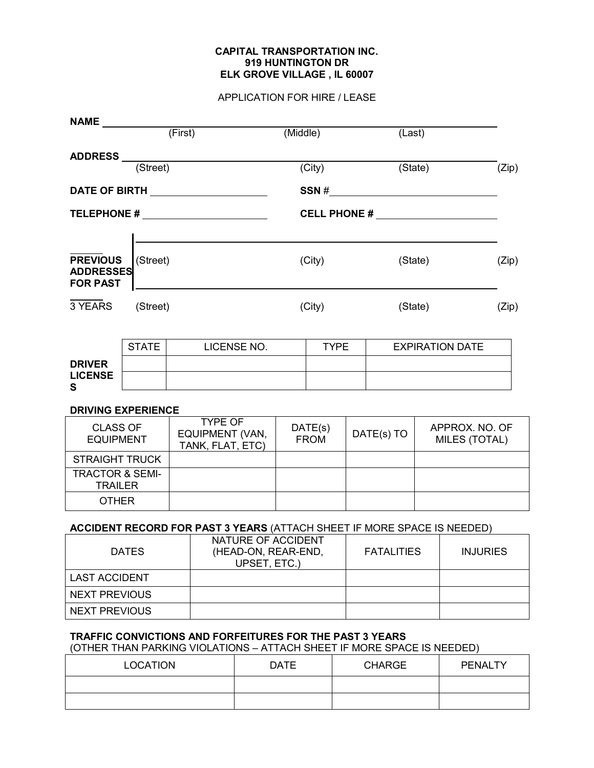## APPLICATION FOR HIRE / LEASE

| <b>NAME</b>                                                        |                             |                                                       |          |                        |         |                        |                                 |       |
|--------------------------------------------------------------------|-----------------------------|-------------------------------------------------------|----------|------------------------|---------|------------------------|---------------------------------|-------|
|                                                                    | (First)                     |                                                       | (Middle) |                        | (Last)  |                        |                                 |       |
|                                                                    |                             |                                                       |          |                        |         |                        |                                 |       |
|                                                                    | ADDRESS (Street)            |                                                       |          | (City)                 |         |                        | (State)                         | (Zip) |
|                                                                    |                             |                                                       |          | SSN #                  |         |                        |                                 |       |
| TELEPHONE # ________________________                               |                             |                                                       |          |                        |         |                        |                                 |       |
| <b>PREVIOUS</b><br>(Street)<br><b>ADDRESSES</b><br><b>FOR PAST</b> |                             |                                                       | (City)   |                        | (State) |                        | (Zip)                           |       |
| 3 YEARS<br>(Street)                                                |                             |                                                       |          | (City)                 |         |                        | (State)                         |       |
|                                                                    | <b>STATE</b><br>LICENSE NO. |                                                       |          | <b>TYPE</b>            |         | <b>EXPIRATION DATE</b> |                                 |       |
| <b>DRIVER</b><br><b>LICENSE</b><br>S                               |                             |                                                       |          |                        |         |                        |                                 |       |
| <b>DRIVING EXPERIENCE</b>                                          |                             |                                                       |          |                        |         |                        |                                 |       |
| <b>CLASS OF</b><br><b>EQUIPMENT</b>                                |                             | <b>TYPE OF</b><br>EQUIPMENT (VAN,<br>TANK, FLAT, ETC) |          | DATE(s)<br><b>FROM</b> |         | DATE(s) TO             | APPROX. NO. OF<br>MILES (TOTAL) |       |
| <b>STRAIGHT TRUCK</b>                                              |                             |                                                       |          |                        |         |                        |                                 |       |
| <b>TRACTOR &amp; SEMI-</b>                                         |                             |                                                       |          |                        |         |                        |                                 |       |

# **ACCIDENT RECORD FOR PAST 3 YEARS** (ATTACH SHEET IF MORE SPACE IS NEEDED)

| <b>DATES</b>         | NATURE OF ACCIDENT<br>(HEAD-ON, REAR-END,<br>UPSET, ETC.) | <b>FATALITIES</b> | <b>INJURIES</b> |
|----------------------|-----------------------------------------------------------|-------------------|-----------------|
| <b>LAST ACCIDENT</b> |                                                           |                   |                 |
| <b>NEXT PREVIOUS</b> |                                                           |                   |                 |
| NEXT PREVIOUS        |                                                           |                   |                 |

# **TRAFFIC CONVICTIONS AND FORFEITURES FOR THE PAST 3 YEARS**

TRAILER OTHER

(OTHER THAN PARKING VIOLATIONS – ATTACH SHEET IF MORE SPACE IS NEEDED)

| <b>LOCATION</b> | <b>DATE</b> | <b>CHARGE</b> | PENALTY |
|-----------------|-------------|---------------|---------|
|                 |             |               |         |
|                 |             |               |         |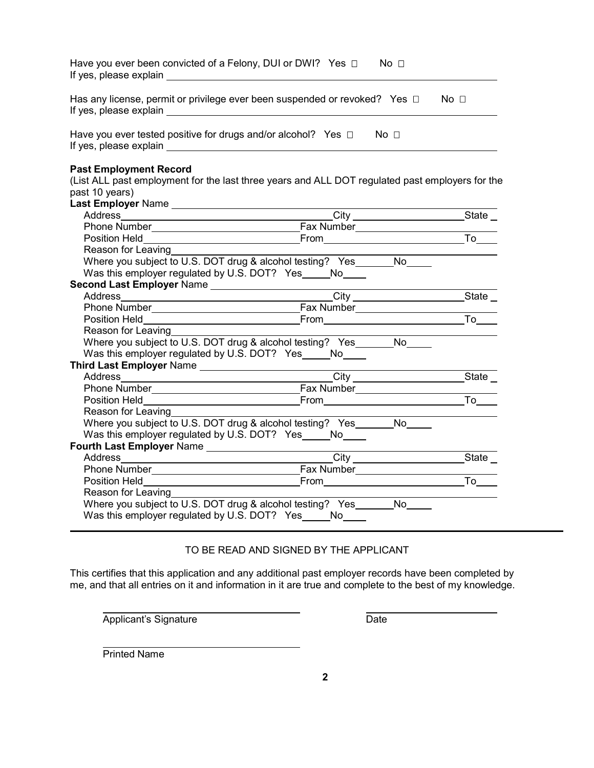| Have you ever been convicted of a Felony, DUI or DWI? Yes $\Box$ No $\Box$<br>If yes, please explain<br><u> 1980 - Jan Barbara Barat, manala</u> |                 |                                          |                 |
|--------------------------------------------------------------------------------------------------------------------------------------------------|-----------------|------------------------------------------|-----------------|
| Has any license, permit or privilege ever been suspended or revoked? Yes $\Box$                                                                  |                 |                                          | No <sub>1</sub> |
| Have you ever tested positive for drugs and/or alcohol? Yes $\Box$ No $\Box$                                                                     |                 |                                          |                 |
| <b>Past Employment Record</b>                                                                                                                    |                 |                                          |                 |
| (List ALL past employment for the last three years and ALL DOT regulated past employers for the<br>past 10 years)                                |                 |                                          |                 |
|                                                                                                                                                  |                 |                                          |                 |
|                                                                                                                                                  |                 |                                          |                 |
|                                                                                                                                                  |                 |                                          |                 |
|                                                                                                                                                  |                 |                                          |                 |
| Reason for Leaving                                                                                                                               |                 |                                          |                 |
| Where you subject to U.S. DOT drug & alcohol testing? Yes_______No____                                                                           |                 |                                          |                 |
| Was this employer regulated by U.S. DOT? Yes No                                                                                                  |                 |                                          |                 |
|                                                                                                                                                  |                 |                                          |                 |
|                                                                                                                                                  |                 |                                          |                 |
|                                                                                                                                                  |                 |                                          |                 |
|                                                                                                                                                  |                 |                                          | To              |
| Reason for Leaving                                                                                                                               |                 |                                          |                 |
| Where you subject to U.S. DOT drug & alcohol testing? Yes_______No____                                                                           |                 |                                          |                 |
| Was this employer regulated by U.S. DOT? Yes _____ No____                                                                                        |                 |                                          |                 |
|                                                                                                                                                  |                 | <u> 1980 - Johann Barbara, martxa al</u> |                 |
|                                                                                                                                                  | City City State |                                          |                 |
|                                                                                                                                                  |                 |                                          |                 |
|                                                                                                                                                  |                 |                                          | To              |
| Reason for Leaving                                                                                                                               |                 |                                          |                 |
| Where you subject to U.S. DOT drug & alcohol testing? Yes_______No____                                                                           |                 |                                          |                 |
| Was this employer regulated by U.S. DOT? Yes _____ No____                                                                                        |                 |                                          |                 |
|                                                                                                                                                  |                 |                                          |                 |
|                                                                                                                                                  | <b>City</b>     |                                          | State           |
|                                                                                                                                                  |                 |                                          |                 |
|                                                                                                                                                  |                 |                                          |                 |
| Reason for Leaving                                                                                                                               |                 |                                          |                 |
| Where you subject to U.S. DOT drug & alcohol testing? Yes________No_____                                                                         |                 |                                          |                 |
| Was this employer regulated by U.S. DOT? Yes _____ No____                                                                                        |                 |                                          |                 |

# TO BE READ AND SIGNED BY THE APPLICANT

This certifies that this application and any additional past employer records have been completed by me, and that all entries on it and information in it are true and complete to the best of my knowledge.

Applicant's Signature **Date** 

Printed Name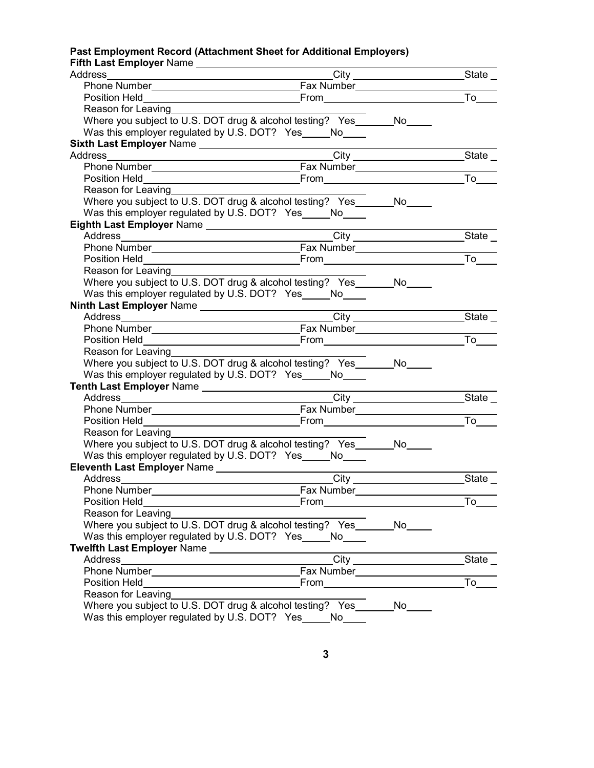### **Past Employment Record (Attachment Sheet for Additional Employers) Fifth Last Employer** Name

| Thur Last Linproyer Name __________________                                                                                                                                                                                          |                                                                                                                                                                                                                                      |                          |                                           |
|--------------------------------------------------------------------------------------------------------------------------------------------------------------------------------------------------------------------------------------|--------------------------------------------------------------------------------------------------------------------------------------------------------------------------------------------------------------------------------------|--------------------------|-------------------------------------------|
| Address                                                                                                                                                                                                                              |                                                                                                                                                                                                                                      | _City _________________  | State $\_$                                |
|                                                                                                                                                                                                                                      |                                                                                                                                                                                                                                      |                          |                                           |
| Position Held<br><u> 1989 - Johann Barn, mars ann an t-Amhair an t-Amhair an t-Amhair an t-Amhair an t-Amhair an t-Amhair an t-Amh</u>                                                                                               |                                                                                                                                                                                                                                      |                          | To                                        |
| Reason for Leaving                                                                                                                                                                                                                   |                                                                                                                                                                                                                                      |                          |                                           |
| Where you subject to U.S. DOT drug & alcohol testing? Yes No                                                                                                                                                                         |                                                                                                                                                                                                                                      |                          |                                           |
| Was this employer regulated by U.S. DOT? Yes _____ No____                                                                                                                                                                            |                                                                                                                                                                                                                                      |                          |                                           |
|                                                                                                                                                                                                                                      |                                                                                                                                                                                                                                      |                          |                                           |
| Address State State State State State State State State State State State State State State State State State State State State State State State State State State State State State State State State State State State Stat       |                                                                                                                                                                                                                                      |                          |                                           |
|                                                                                                                                                                                                                                      |                                                                                                                                                                                                                                      |                          |                                           |
| Position Held                                                                                                                                                                                                                        |                                                                                                                                                                                                                                      |                          | To                                        |
| Reason for Leaving                                                                                                                                                                                                                   |                                                                                                                                                                                                                                      |                          |                                           |
| Where you subject to U.S. DOT drug & alcohol testing? Yes _______ No                                                                                                                                                                 |                                                                                                                                                                                                                                      |                          |                                           |
| Was this employer regulated by U.S. DOT? Yes _____ No____                                                                                                                                                                            |                                                                                                                                                                                                                                      |                          |                                           |
|                                                                                                                                                                                                                                      |                                                                                                                                                                                                                                      |                          |                                           |
| Address City City                                                                                                                                                                                                                    |                                                                                                                                                                                                                                      |                          | State _                                   |
|                                                                                                                                                                                                                                      |                                                                                                                                                                                                                                      |                          |                                           |
|                                                                                                                                                                                                                                      |                                                                                                                                                                                                                                      |                          |                                           |
| Reason for Leaving                                                                                                                                                                                                                   |                                                                                                                                                                                                                                      |                          |                                           |
| Where you subject to U.S. DOT drug & alcohol testing? Yes_______No____                                                                                                                                                               |                                                                                                                                                                                                                                      |                          |                                           |
| Was this employer regulated by U.S. DOT? Yes _____ No____                                                                                                                                                                            |                                                                                                                                                                                                                                      |                          |                                           |
|                                                                                                                                                                                                                                      |                                                                                                                                                                                                                                      |                          |                                           |
| Address State State State State State State State State State State State State State State State State State State State State State State State State State State State State State State State State State State State Stat       |                                                                                                                                                                                                                                      |                          |                                           |
|                                                                                                                                                                                                                                      |                                                                                                                                                                                                                                      |                          |                                           |
|                                                                                                                                                                                                                                      |                                                                                                                                                                                                                                      |                          | $\overline{I}$ o $\overline{\phantom{a}}$ |
| Reason for Leaving                                                                                                                                                                                                                   |                                                                                                                                                                                                                                      |                          |                                           |
| Where you subject to U.S. DOT drug & alcohol testing? Yes _______ No                                                                                                                                                                 |                                                                                                                                                                                                                                      |                          |                                           |
| Was this employer regulated by U.S. DOT? Yes_____No____                                                                                                                                                                              |                                                                                                                                                                                                                                      |                          |                                           |
| Tenth Last Employer Name                                                                                                                                                                                                             |                                                                                                                                                                                                                                      |                          |                                           |
|                                                                                                                                                                                                                                      | $\overline{\phantom{a}}$ City                                                                                                                                                                                                        |                          | State                                     |
| Phone Number <b>Phone State State State State State State State State State State State State State State State State State State State State State State State State State State State State State State State State State Stat</b> |                                                                                                                                                                                                                                      |                          |                                           |
| Position Held                                                                                                                                                                                                                        | <u>From Example 2001 Promised by the set of the set of the set of the set of the set of the set of the set of the set of the set of the set of the set of the set of the set of the set of the set of the set of the set of the </u> |                          | To                                        |
| Reason for Leaving                                                                                                                                                                                                                   |                                                                                                                                                                                                                                      |                          |                                           |
| Where you subject to U.S. DOT drug & alcohol testing? Yes_______No____                                                                                                                                                               |                                                                                                                                                                                                                                      |                          |                                           |
| Was this employer regulated by U.S. DOT? Yes_____No____                                                                                                                                                                              |                                                                                                                                                                                                                                      |                          |                                           |
|                                                                                                                                                                                                                                      |                                                                                                                                                                                                                                      |                          |                                           |
| Address                                                                                                                                                                                                                              |                                                                                                                                                                                                                                      |                          |                                           |
| Phone Number                                                                                                                                                                                                                         | <b>Example 18 Traveller</b> Fax Number                                                                                                                                                                                               |                          |                                           |
|                                                                                                                                                                                                                                      |                                                                                                                                                                                                                                      |                          | To                                        |
| Reason for Leaving                                                                                                                                                                                                                   |                                                                                                                                                                                                                                      |                          |                                           |
| Where you subject to U.S. DOT drug & alcohol testing? Yes________ No_____                                                                                                                                                            |                                                                                                                                                                                                                                      |                          |                                           |
| Was this employer regulated by U.S. DOT? Yes _____ No_____                                                                                                                                                                           |                                                                                                                                                                                                                                      |                          |                                           |
|                                                                                                                                                                                                                                      |                                                                                                                                                                                                                                      |                          |                                           |
| Address<br><u> 1989 - Johann Stoff, Amerikaansk politiker (</u>                                                                                                                                                                      |                                                                                                                                                                                                                                      | $\overline{\text{City}}$ | State                                     |
|                                                                                                                                                                                                                                      |                                                                                                                                                                                                                                      |                          |                                           |
|                                                                                                                                                                                                                                      |                                                                                                                                                                                                                                      |                          | To                                        |
| Reason for Leaving                                                                                                                                                                                                                   |                                                                                                                                                                                                                                      |                          |                                           |
| Where you subject to U.S. DOT drug & alcohol testing? Yes_______No___                                                                                                                                                                |                                                                                                                                                                                                                                      |                          |                                           |
| Was this employer regulated by U.S. DOT? Yes _____ No_____                                                                                                                                                                           |                                                                                                                                                                                                                                      |                          |                                           |
|                                                                                                                                                                                                                                      |                                                                                                                                                                                                                                      |                          |                                           |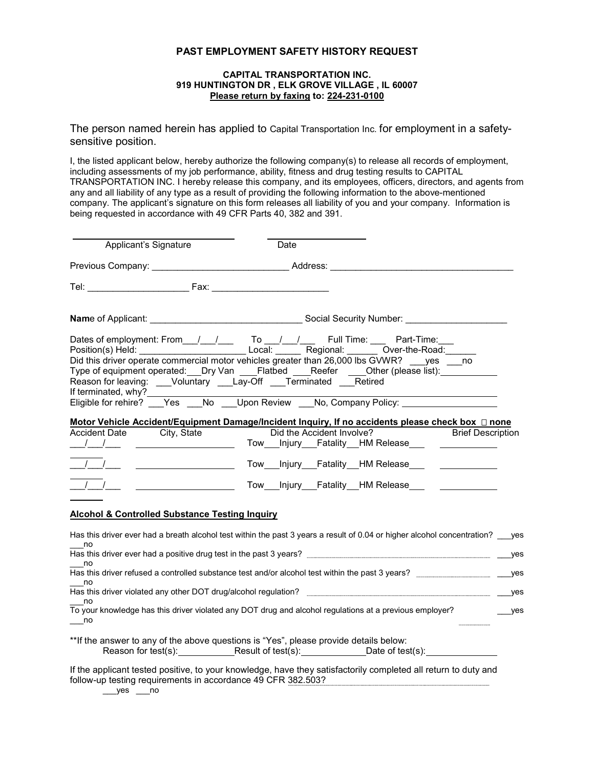### **PAST EMPLOYMENT SAFETY HISTORY REQUEST**

#### **CAPITAL TRANSPORTATION INC. 919 HUNTINGTON DR , ELK GROVE VILLAGE , IL 60007 Please return by faxing to: 224-231-0100**

The person named herein has applied to Capital Transportation Inc. for employment in a safetysensitive position.

I, the listed applicant below, hereby authorize the following company(s) to release all records of employment, including assessments of my job performance, ability, fitness and drug testing results to CAPITAL TRANSPORTATION INC. I hereby release this company, and its employees, officers, directors, and agents from any and all liability of any type as a result of providing the following information to the above-mentioned company. The applicant's signature on this form releases all liability of you and your company. Information is being requested in accordance with 49 CFR Parts 40, 382 and 391.

| Applicant's Signature                                                                                                                  | Date                                                                                                                                                                                                                                                                                                                                                                                                                                                                  |         |
|----------------------------------------------------------------------------------------------------------------------------------------|-----------------------------------------------------------------------------------------------------------------------------------------------------------------------------------------------------------------------------------------------------------------------------------------------------------------------------------------------------------------------------------------------------------------------------------------------------------------------|---------|
|                                                                                                                                        | Previous Company: ________________________________Address: _____________________                                                                                                                                                                                                                                                                                                                                                                                      |         |
|                                                                                                                                        |                                                                                                                                                                                                                                                                                                                                                                                                                                                                       |         |
|                                                                                                                                        |                                                                                                                                                                                                                                                                                                                                                                                                                                                                       |         |
| Reason for leaving: ___Voluntary ___Lay-Off ___Terminated ___Retired<br>If terminated, why?______________<br>Accident Date City, State | Dates of employment: From // / To // / Full Time: Part-Time:<br>Position(s) Held: Local: Local: Regional: Over-the-Road: Local Did this driver operate commercial motor vehicles greater than 26,000 lbs GVWR? Lyes Line<br>Type of equipment operated: __Dry Van ____Flatbed ____Reefer ____Other (please list):<br>Motor Vehicle Accident/Equipment Damage/Incident Inquiry, If no accidents please check box □ none<br>Did the Accident Involve? Brief Description |         |
|                                                                                                                                        | Tow Injury Fatality HM Release _______________                                                                                                                                                                                                                                                                                                                                                                                                                        |         |
| $\sqrt{1-\frac{1}{2}}$<br><u> Louis Communication (Communication</u><br>$\frac{1}{\sqrt{2}}$                                           | Tow ___ Injury ___ Fatality __ HM Release ___                                                                                                                                                                                                                                                                                                                                                                                                                         |         |
| <b>Alcohol &amp; Controlled Substance Testing Inquiry</b>                                                                              |                                                                                                                                                                                                                                                                                                                                                                                                                                                                       |         |
| no<br>no                                                                                                                               | Has this driver ever had a breath alcohol test within the past 3 years a result of 0.04 or higher alcohol concentration? ___yes                                                                                                                                                                                                                                                                                                                                       |         |
| no                                                                                                                                     |                                                                                                                                                                                                                                                                                                                                                                                                                                                                       |         |
| no<br>$\overline{\phantom{0}}$ no                                                                                                      | To your knowledge has this driver violated any DOT drug and alcohol regulations at a previous employer?                                                                                                                                                                                                                                                                                                                                                               | $__yes$ |
|                                                                                                                                        | ** If the answer to any of the above questions is "Yes", please provide details below:<br>Reason for test(s): Result of test(s): Date of test(s): Date of test(s):                                                                                                                                                                                                                                                                                                    |         |

If the applicant tested positive, to your knowledge, have they satisfactorily completed all return to duty and follow-up testing requirements in accordance 49 CFR 382.503?

 $__yes$   $__no$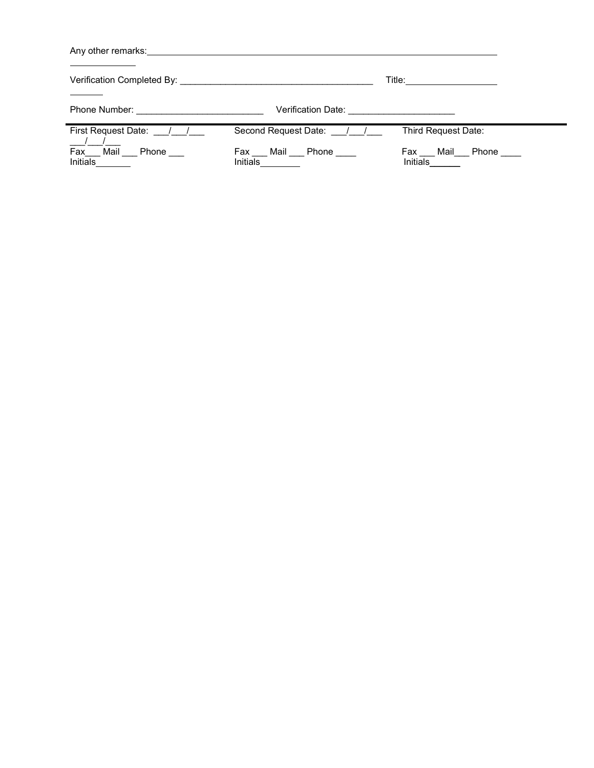| Any other remarks: example and a series of the series of the series of the series of the series of the series of the series of the series of the series of the series of the series of the series of the series of the series |                                                |                                    |  |  |  |
|-------------------------------------------------------------------------------------------------------------------------------------------------------------------------------------------------------------------------------|------------------------------------------------|------------------------------------|--|--|--|
| Verification Completed By: University of the Completed By:<br>Title: _________________                                                                                                                                        |                                                |                                    |  |  |  |
|                                                                                                                                                                                                                               | Verification Date: <u>____________________</u> |                                    |  |  |  |
| First Request Date: 1.                                                                                                                                                                                                        | Second Request Date: / /                       | Third Request Date:                |  |  |  |
| Fax<br>Mail Phone<br><b>Initials</b>                                                                                                                                                                                          | Fax Mail Phone<br><b>Initials</b>              | Mail Phone ____<br>Fax<br>Initials |  |  |  |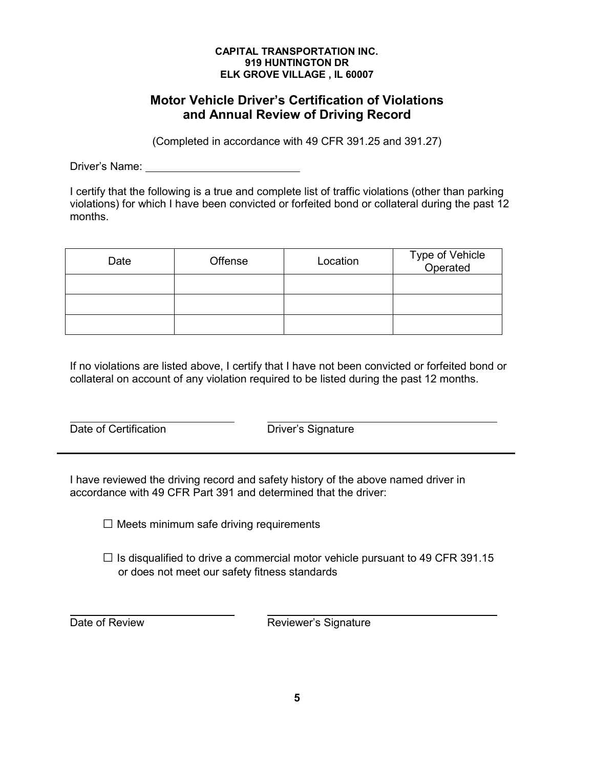# **Motor Vehicle Driver's Certification of Violations and Annual Review of Driving Record**

(Completed in accordance with 49 CFR 391.25 and 391.27)

Driver's Name: <u>\_\_\_\_\_\_\_\_\_\_\_\_\_\_\_\_\_\_\_\_\_\_\_\_\_</u>

I certify that the following is a true and complete list of traffic violations (other than parking violations) for which I have been convicted or forfeited bond or collateral during the past 12 months.

| Date | Offense | Location | Type of Vehicle<br>Operated |
|------|---------|----------|-----------------------------|
|      |         |          |                             |
|      |         |          |                             |
|      |         |          |                             |

If no violations are listed above, I certify that I have not been convicted or forfeited bond or collateral on account of any violation required to be listed during the past 12 months.

Date of Certification **Driver's Signature** 

I have reviewed the driving record and safety history of the above named driver in accordance with 49 CFR Part 391 and determined that the driver:

 $\square$  Meets minimum safe driving requirements

 $\Box$  Is disqualified to drive a commercial motor vehicle pursuant to 49 CFR 391.15 or does not meet our safety fitness standards

Date of Review **Reviewer's Signature**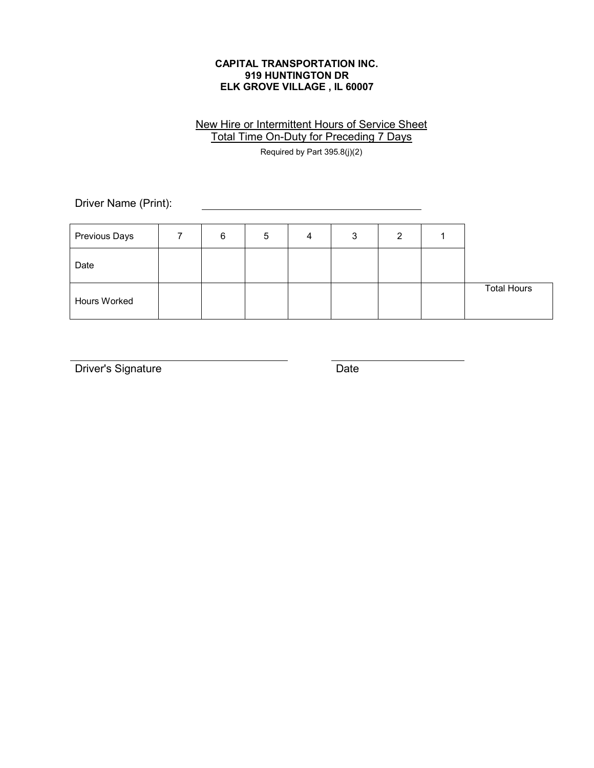# New Hire or Intermittent Hours of Service Sheet Total Time On-Duty for Preceding 7 Days

Required by Part 395.8(j)(2)

Driver Name (Print):

| Previous Days       | 6 | 5 | 4 | 3 |  |                    |
|---------------------|---|---|---|---|--|--------------------|
| Date                |   |   |   |   |  |                    |
| <b>Hours Worked</b> |   |   |   |   |  | <b>Total Hours</b> |

Driver's Signature Date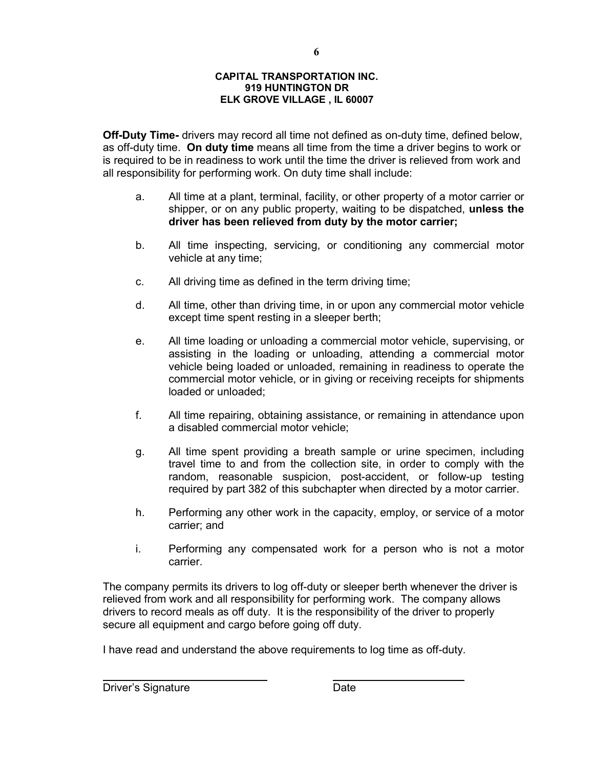**6**

**Off-Duty Time-** drivers may record all time not defined as on-duty time, defined below, as off-duty time. **On duty time** means all time from the time a driver begins to work or is required to be in readiness to work until the time the driver is relieved from work and all responsibility for performing work. On duty time shall include:

- a. All time at a plant, terminal, facility, or other property of a motor carrier or shipper, or on any public property, waiting to be dispatched, **unless the driver has been relieved from duty by the motor carrier;**
- b. All time inspecting, servicing, or conditioning any commercial motor vehicle at any time;
- c. All driving time as defined in the term driving time;
- d. All time, other than driving time, in or upon any commercial motor vehicle except time spent resting in a sleeper berth;
- e. All time loading or unloading a commercial motor vehicle, supervising, or assisting in the loading or unloading, attending a commercial motor vehicle being loaded or unloaded, remaining in readiness to operate the commercial motor vehicle, or in giving or receiving receipts for shipments loaded or unloaded;
- f. All time repairing, obtaining assistance, or remaining in attendance upon a disabled commercial motor vehicle;
- g. All time spent providing a breath sample or urine specimen, including travel time to and from the collection site, in order to comply with the random, reasonable suspicion, post-accident, or follow-up testing required by part 382 of this subchapter when directed by a motor carrier.
- h. Performing any other work in the capacity, employ, or service of a motor carrier; and
- i. Performing any compensated work for a person who is not a motor carrier.

The company permits its drivers to log off-duty or sleeper berth whenever the driver is relieved from work and all responsibility for performing work. The company allows drivers to record meals as off duty. It is the responsibility of the driver to properly secure all equipment and cargo before going off duty.

I have read and understand the above requirements to log time as off-duty.

Driver's Signature **Date** Date